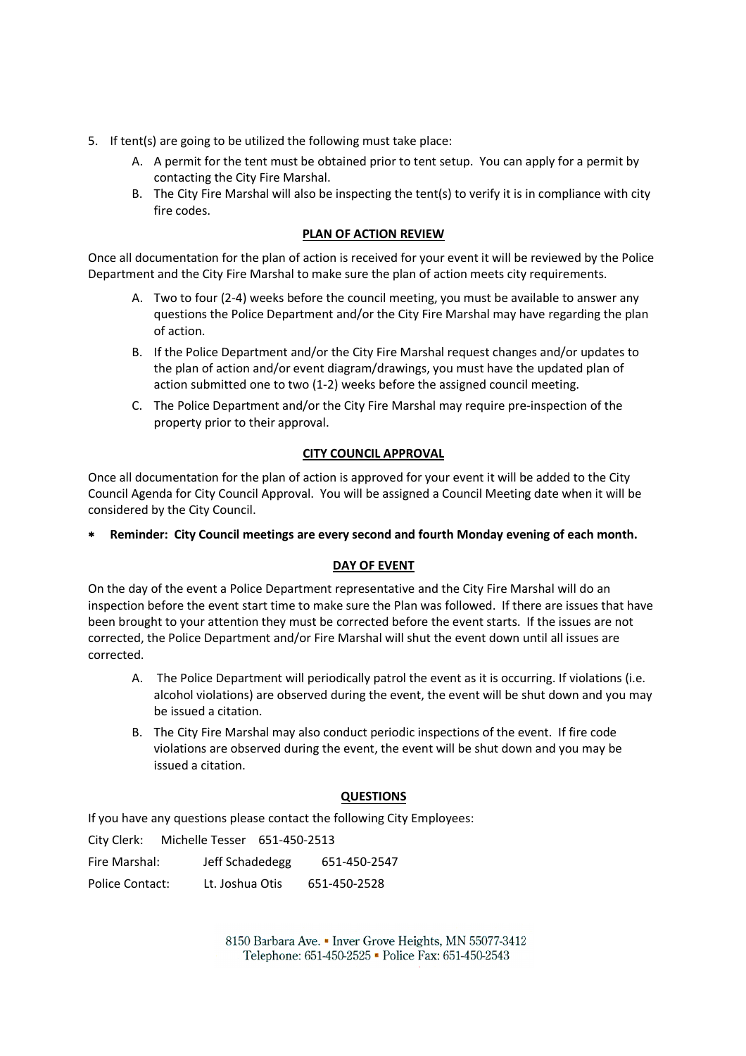- 5. If tent(s) are going to be utilized the following must take place:
	- A. A permit for the tent must be obtained prior to tent setup. You can apply for a permit by contacting the City Fire Marshal. A. A permit for the tent must be obtained prior to tent setup. You can apply for a permit by contacting the City Fire Marshal.<br>B. The City Fire Marshal will also be inspecting the tent(s) to verify it is in compliance with
	- fire codes.

## **PLAN OF ACTION REVIEW**

Once all documentation for the plan of action is received for your event it will be reviewed by the Police Department and the City Fire Marshal to make sure the plan of action meets city requirements.

- A. Two to four (2-4) weeks before the council meeting, you must be available to answer any questions the Police Department and/or the City Fire Marshal may have regarding the plan of action. e Marshal to make sure the plan of action meets city requirements.<br>) weeks before the council meeting, you must be available to answer any<br>blice Department and/or the City Fire Marshal may have regarding the plan<br>artment a
- B. If the Police Department and/or the City Fire Marshal request changes and/or updates to the plan of action and/or event diagram/drawings, you must have the updated plan of action submitted one to two (1-2) weeks before the assigned council meeting. st changes and/or updates<br>t have the updated plan of<br>d council meeting.<br>quire pre-inspection of the
- C. The Police Department and/or the City Fire Marshal may require pre property prior to their approval.

## **CITY COUNCIL APPROVAL**

Once all documentation for the plan of action is approved for your event it will be added to the City Council Agenda for City Council Approval. You will be assigned a Council Meeting date when it will be considered by the City Council.

**Reminder: City Council meetings are every second and fourth Monday evening of each month.**

## **DAY OF EVENT**

On the day of the event a Police Department representative and the City Fire Marshal will do an inspection before the event start time to make sure the Plan was followed. If there are issues that have inspection before the event start time to make sure the Plan was followed. If there are issues that ha<br>been brought to your attention they must be corrected before the event starts. If the issues are not corrected, the Police Department and/or Fire Marshal will shut the event down until all issues are corrected. If there are issues that have<br>
Interaction of event starts. If the issues are not<br>
Interaction and you may<br>
interaction is entired interaction interaction<br>
is event will be shut down and you may

- A. The Police Department will periodically patrol the event as it is occurring. If violations (i.e. alcohol violations) are observed during the event, the event will be shut down and you may be issued a citation.
- B. The City Fire Marshal may also conduct periodic inspections of the event. If fire code violations are observed during the event, the event will be shut down and you may be issued a citation. violations are observed during the event, the event will be<br>issued a citation.<br>If you have any questions please contact the following City Employees:

## **QUESTIONS**

City Clerk: Michelle Tesser 651-450-2513

| Fire Marshal:   | Jeff Schadedegg | 651-450-2547 |
|-----------------|-----------------|--------------|
| Police Contact: | Lt. Joshua Otis | 651-450-2528 |

8150 Barbara Ave. • Inver Grove Heights, MN 55077-3412 Telephone: 651-450-2525 • Police Fax: 651-450-2543